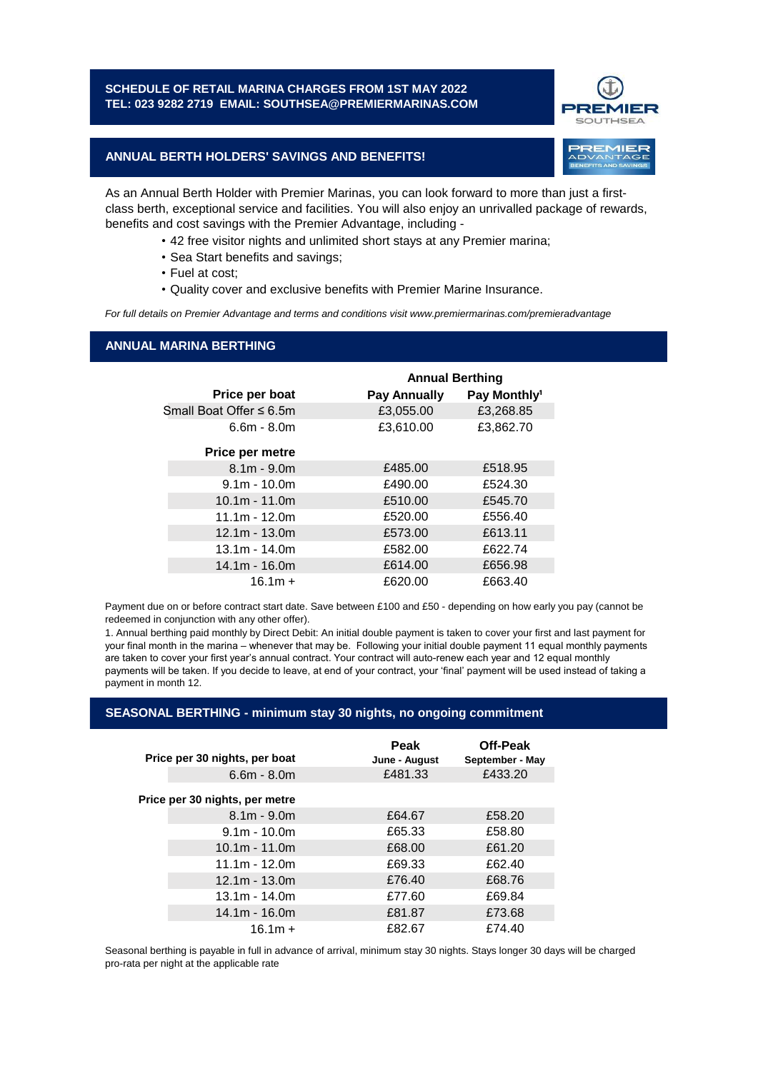# **SCHEDULE OF RETAIL MARINA CHARGES FROM 1ST MAY 2022 TEL: 023 9282 2719 EMAIL: SOUTHSEA@PREMIERMARINAS.COM**



# **ANNUAL BERTH HOLDERS' SAVINGS AND BENEFITS!**

As an Annual Berth Holder with Premier Marinas, you can look forward to more than just a firstclass berth, exceptional service and facilities. You will also enjoy an unrivalled package of rewards, benefits and cost savings with the Premier Advantage, including -

- 42 free visitor nights and unlimited short stays at any Premier marina;
- Sea Start benefits and savings;
- Fuel at cost;
- Quality cover and exclusive benefits with Premier Marine Insurance.

*For full details on Premier Advantage and terms and conditions visit www.premiermarinas.com/premieradvantage*

## **ANNUAL MARINA BERTHING**

|                         | <b>Annual Berthing</b> |                          |
|-------------------------|------------------------|--------------------------|
| Price per boat          | <b>Pay Annually</b>    | Pay Monthly <sup>1</sup> |
| Small Boat Offer ≤ 6.5m | £3,055.00              | £3,268.85                |
| $6.6m - 8.0m$           | £3,610.00              | £3,862.70                |
| Price per metre         |                        |                          |
| $8.1m - 9.0m$           | £485.00                | £518.95                  |
| $9.1m - 10.0m$          | £490.00                | £524.30                  |
| $10.1m - 11.0m$         | £510.00                | £545.70                  |
| $11.1m - 12.0m$         | £520.00                | £556.40                  |
| $12.1m - 13.0m$         | £573.00                | £613.11                  |
| $13.1m - 14.0m$         | £582.00                | £622.74                  |
| $14.1m - 16.0m$         | £614.00                | £656.98                  |
| $16.1m +$               | £620.00                | £663.40                  |

Payment due on or before contract start date. Save between £100 and £50 - depending on how early you pay (cannot be redeemed in conjunction with any other offer).

1. Annual berthing paid monthly by Direct Debit: An initial double payment is taken to cover your first and last payment for your final month in the marina – whenever that may be. Following your initial double payment 11 equal monthly payments are taken to cover your first year's annual contract. Your contract will auto-renew each year and 12 equal monthly payments will be taken. If you decide to leave, at end of your contract, your 'final' payment will be used instead of taking a payment in month 12.

# **SEASONAL BERTHING - minimum stay 30 nights, no ongoing commitment**

| Price per 30 nights, per boat  | <b>Peak</b><br>June - August | Off-Peak<br>September - May |
|--------------------------------|------------------------------|-----------------------------|
| $6.6m - 8.0m$                  | £481.33                      | £433.20                     |
| Price per 30 nights, per metre |                              |                             |
| $8.1m - 9.0m$                  | £64.67                       | £58.20                      |
| $9.1m - 10.0m$                 | £65.33                       | £58.80                      |
| $10.1m - 11.0m$                | £68.00                       | £61.20                      |
| $11.1m - 12.0m$                | £69.33                       | £62.40                      |
| $12.1m - 13.0m$                | £76.40                       | £68.76                      |
| $13.1m - 14.0m$                | £77.60                       | £69.84                      |
| $14.1m - 16.0m$                | £81.87                       | £73.68                      |
| $16.1m +$                      | £82.67                       | £74.40                      |

Seasonal berthing is payable in full in advance of arrival, minimum stay 30 nights. Stays longer 30 days will be charged pro-rata per night at the applicable rate